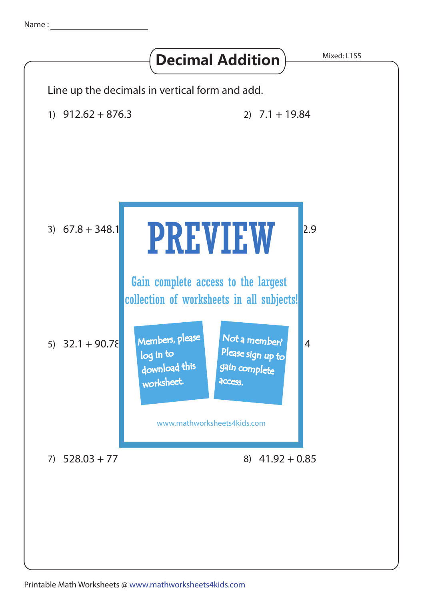